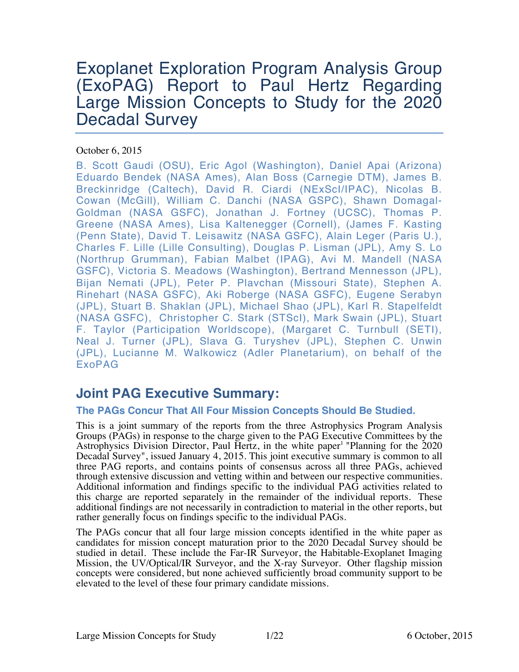# Exoplanet Exploration Program Analysis Group (ExoPAG) Report to Paul Hertz Regarding Large Mission Concepts to Study for the 2020 Decadal Survey

## October 6, 2015

B. Scott Gaudi (OSU), Eric Agol (Washington), Daniel Apai (Arizona) Eduardo Bendek (NASA Ames), Alan Boss (Carnegie DTM), James B. Breckinridge (Caltech), David R. Ciardi (NExScI/IPAC), Nicolas B. Cowan (McGill), William C. Danchi (NASA GSPC), Shawn Domagal-Goldman (NASA GSFC), Jonathan J. Fortney (UCSC), Thomas P. Greene (NASA Ames), Lisa Kaltenegger (Cornell), (James F. Kasting (Penn State), David T. Leisawitz (NASA GSFC), Alain Leger (Paris U.), Charles F. Lille (Lille Consulting), Douglas P. Lisman (JPL), Amy S. Lo (Northrup Grumman), Fabian Malbet (IPAG), Avi M. Mandell (NASA GSFC), Victoria S. Meadows (Washington), Bertrand Mennesson (JPL), Bijan Nemati (JPL), Peter P. Plavchan (Missouri State), Stephen A. Rinehart (NASA GSFC), Aki Roberge (NASA GSFC), Eugene Serabyn (JPL), Stuart B. Shaklan (JPL), Michael Shao (JPL), Karl R. Stapelfeldt (NASA GSFC), Christopher C. Stark (STScI), Mark Swain (JPL), Stuart F. Taylor (Participation Worldscope), (Margaret C. Turnbull (SETI), Neal J. Turner (JPL), Slava G. Turyshev (JPL), Stephen C. Unwin (JPL), Lucianne M. Walkowicz (Adler Planetarium), on behalf of the ExoPAG

## **Joint PAG Executive Summary:**

## **The PAGs Concur That All Four Mission Concepts Should Be Studied.**

This is a joint summary of the reports from the three Astrophysics Program Analysis Groups (PAGs) in response to the charge given to the PAG Executive Committees by the Astrophysics Division Director, Paul Hertz, in the white paper<sup>1</sup> "Planning for the 2020 Decadal Survey", issued January 4, 2015. This joint executive summary is common to all three PAG reports, and contains points of consensus across all three PAGs, achieved through extensive discussion and vetting within and between our respective communities. Additional information and findings specific to the individual PAG activities related to this charge are reported separately in the remainder of the individual reports. These additional findings are not necessarily in contradiction to material in the other reports, but rather generally focus on findings specific to the individual PAGs.

The PAGs concur that all four large mission concepts identified in the white paper as candidates for mission concept maturation prior to the 2020 Decadal Survey should be studied in detail. These include the Far-IR Surveyor, the Habitable-Exoplanet Imaging Mission, the UV/Optical/IR Surveyor, and the X-ray Surveyor. Other flagship mission concepts were considered, but none achieved sufficiently broad community support to be elevated to the level of these four primary candidate missions.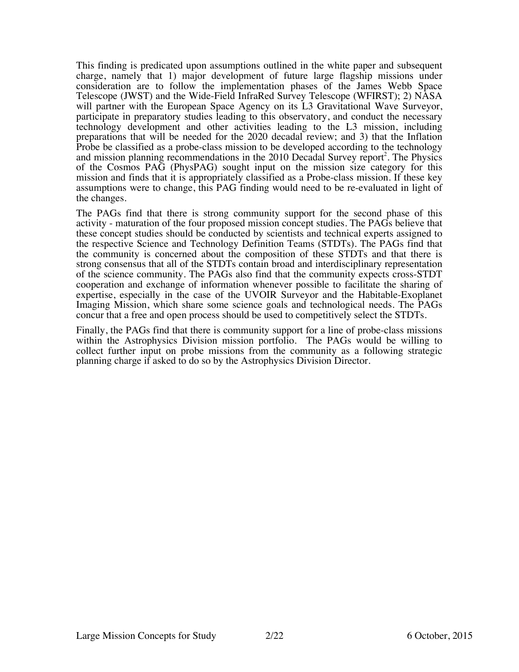This finding is predicated upon assumptions outlined in the white paper and subsequent charge, namely that 1) major development of future large flagship missions under consideration are to follow the implementation phases of the James Webb Space Telescope (JWST) and the Wide-Field InfraRed Survey Telescope (WFIRST); 2) NASA will partner with the European Space Agency on its L3 Gravitational Wave Surveyor, participate in preparatory studies leading to this observatory, and conduct the necessary technology development and other activities leading to the L3 mission, including preparations that will be needed for the 2020 decadal review; and 3) that the Inflation Probe be classified as a probe-class mission to be developed according to the technology and mission planning recommendations in the 2010 Decadal Survey report<sup>2</sup>. The Physics of the Cosmos PAG (PhysPAG) sought input on the mission size category for this mission and finds that it is appropriately classified as a Probe-class mission. If these key assumptions were to change, this PAG finding would need to be re-evaluated in light of the changes.

The PAGs find that there is strong community support for the second phase of this activity - maturation of the four proposed mission concept studies. The PAGs believe that these concept studies should be conducted by scientists and technical experts assigned to the respective Science and Technology Definition Teams (STDTs). The PAGs find that the community is concerned about the composition of these STDTs and that there is strong consensus that all of the STDTs contain broad and interdisciplinary representation of the science community. The PAGs also find that the community expects cross-STDT cooperation and exchange of information whenever possible to facilitate the sharing of expertise, especially in the case of the UVOIR Surveyor and the Habitable-Exoplanet Imaging Mission, which share some science goals and technological needs. The PAGs concur that a free and open process should be used to competitively select the STDTs.

Finally, the PAGs find that there is community support for a line of probe-class missions within the Astrophysics Division mission portfolio. The PAGs would be willing to collect further input on probe missions from the community as a following strategic planning charge if asked to do so by the Astrophysics Division Director.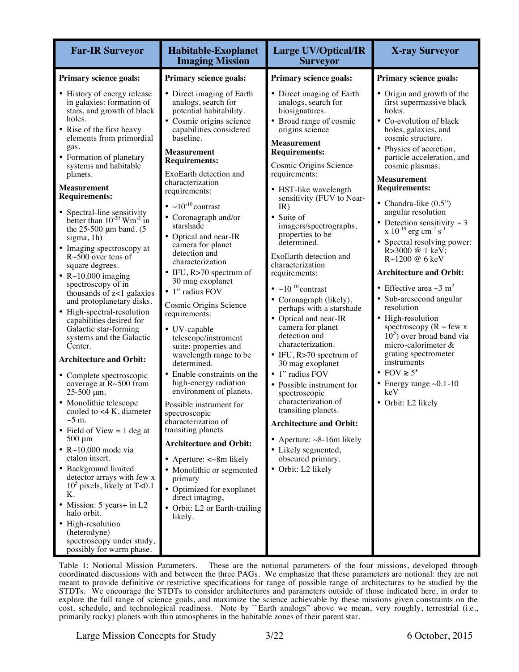| <b>Far-IR Surveyor</b>                                                                                                                                                                                                                                                                                                                                                                                                                                                                                                                                                                                                                                                                                                                                                                                                                                                                                                                                                                                                                                                                                                                                                                                                                                             | <b>Habitable-Exoplanet</b><br><b>Imaging Mission</b>                                                                                                                                                                                                                                                                                                                                                                                                                                                                                                                                                                                                                                                                                                                                                                                                                                                                                                                                                                     | <b>Large UV/Optical/IR</b><br><b>Surveyor</b>                                                                                                                                                                                                                                                                                                                                                                                                                                                                                                                                                                                                                                                                                                                                                                                                                                                    | <b>X-ray Surveyor</b>                                                                                                                                                                                                                                                                                                                                                                                                                                                                                                                                                                                                                                                                                                                                                                                                                            |
|--------------------------------------------------------------------------------------------------------------------------------------------------------------------------------------------------------------------------------------------------------------------------------------------------------------------------------------------------------------------------------------------------------------------------------------------------------------------------------------------------------------------------------------------------------------------------------------------------------------------------------------------------------------------------------------------------------------------------------------------------------------------------------------------------------------------------------------------------------------------------------------------------------------------------------------------------------------------------------------------------------------------------------------------------------------------------------------------------------------------------------------------------------------------------------------------------------------------------------------------------------------------|--------------------------------------------------------------------------------------------------------------------------------------------------------------------------------------------------------------------------------------------------------------------------------------------------------------------------------------------------------------------------------------------------------------------------------------------------------------------------------------------------------------------------------------------------------------------------------------------------------------------------------------------------------------------------------------------------------------------------------------------------------------------------------------------------------------------------------------------------------------------------------------------------------------------------------------------------------------------------------------------------------------------------|--------------------------------------------------------------------------------------------------------------------------------------------------------------------------------------------------------------------------------------------------------------------------------------------------------------------------------------------------------------------------------------------------------------------------------------------------------------------------------------------------------------------------------------------------------------------------------------------------------------------------------------------------------------------------------------------------------------------------------------------------------------------------------------------------------------------------------------------------------------------------------------------------|--------------------------------------------------------------------------------------------------------------------------------------------------------------------------------------------------------------------------------------------------------------------------------------------------------------------------------------------------------------------------------------------------------------------------------------------------------------------------------------------------------------------------------------------------------------------------------------------------------------------------------------------------------------------------------------------------------------------------------------------------------------------------------------------------------------------------------------------------|
| Primary science goals:                                                                                                                                                                                                                                                                                                                                                                                                                                                                                                                                                                                                                                                                                                                                                                                                                                                                                                                                                                                                                                                                                                                                                                                                                                             | Primary science goals:                                                                                                                                                                                                                                                                                                                                                                                                                                                                                                                                                                                                                                                                                                                                                                                                                                                                                                                                                                                                   | <b>Primary science goals:</b>                                                                                                                                                                                                                                                                                                                                                                                                                                                                                                                                                                                                                                                                                                                                                                                                                                                                    | Primary science goals:                                                                                                                                                                                                                                                                                                                                                                                                                                                                                                                                                                                                                                                                                                                                                                                                                           |
| • History of energy release<br>in galaxies: formation of<br>stars, and growth of black<br>holes.<br>• Rise of the first heavy<br>elements from primordial<br>gas.<br>• Formation of planetary<br>systems and habitable<br>planets.<br><b>Measurement</b><br><b>Requirements:</b><br>• Spectral-line sensitivity<br>better than $10^{-20}$ Wm <sup>-2</sup> in<br>the $25-500 \mu m$ band. (5)<br>sigma, 1h)<br>• Imaging spectroscopy at<br>$R~500$ over tens of<br>square degrees.<br>• $R \sim 10,000$ imaging<br>spectroscopy of in<br>thousands of z<1 galaxies<br>and protoplanetary disks.<br>• High-spectral-resolution<br>capabilities desired for<br>Galactic star-forming<br>systems and the Galactic<br>Center.<br><b>Architecture and Orbit:</b><br>• Complete spectroscopic<br>coverage at $R \sim 500$ from<br>$25-500 \mu m$ .<br>• Monolithic telescope<br>cooled to $<$ 4 K, diameter<br>${\sim}5$ m.<br>• Field of View $= 1$ deg at<br>$500 \mu m$<br>$\cdot$ R $\sim$ 10,000 mode via<br>etalon insert.<br>• Background limited<br>detector arrays with few x<br>$105$ pixels, likely at T<0.1<br>Κ.<br>• Mission: 5 years+ in L2<br>halo orbit.<br>• High-resolution<br>(heterodyne)<br>spectroscopy under study,<br>possibly for warm phase. | • Direct imaging of Earth<br>analogs, search for<br>potential habitability.<br>· Cosmic origins science<br>capabilities considered<br>baseline.<br><b>Measurement</b><br><b>Requirements:</b><br>ExoEarth detection and<br>characterization<br>requirements:<br>• $\sim 10^{-10}$ contrast<br>• Coronagraph and/or<br>starshade<br>• Optical and near-IR<br>camera for planet<br>detection and<br>characterization<br>• IFU, R>70 spectrum of<br>30 mag exoplanet<br>• 1" radius FOV<br>Cosmic Origins Science<br>requirements:<br>• UV-capable<br>telescope/instrument<br>suite: properties and<br>wavelength range to be<br>determined.<br>Enable constraints on the<br>high-energy radiation<br>environment of planets.<br>Possible instrument for<br>spectroscopic<br>characterization of<br>transiting planets<br><b>Architecture and Orbit:</b><br>• Aperture: $\ll 8m$ likely<br>• Monolithic or segmented<br>primary<br>• Optimized for exoplanet<br>direct imaging,<br>• Orbit: L2 or Earth-trailing<br>likely. | • Direct imaging of Earth<br>analogs, search for<br>biosignatures.<br>• Broad range of cosmic<br>origins science<br><b>Measurement</b><br><b>Requirements:</b><br>Cosmic Origins Science<br>requirements:<br>• HST-like wavelength<br>sensitivity (FUV to Near-<br>IR)<br>• Suite of<br>imagers/spectrographs,<br>properties to be<br>determined.<br>ExoEarth detection and<br>characterization<br>requirements:<br>• $\sim 10^{-10}$ contrast<br>• Coronagraph (likely),<br>perhaps with a starshade<br>Optical and near-IR<br>camera for planet<br>detection and<br>characterization.<br>• IFU, $R > 70$ spectrum of<br>30 mag exoplanet<br>• 1" radius FOV<br>• Possible instrument for<br>spectroscopic<br>characterization of<br>transiting planets.<br><b>Architecture and Orbit:</b><br>• Aperture: $\sim$ 8-16m likely<br>• Likely segmented,<br>obscured primary.<br>• Orbit: L2 likely | • Origin and growth of the<br>first supermassive black<br>holes.<br>• Co-evolution of black<br>holes, galaxies, and<br>cosmic structure.<br>Physics of accretion,<br>particle acceleration, and<br>cosmic plasmas.<br><b>Measurement</b><br><b>Requirements:</b><br>• Chandra-like $(0.5")$<br>angular resolution<br>• Detection sensitivity $\sim$ 3<br>x 10 <sup>-19</sup> erg cm <sup>-2</sup> s <sup>-1</sup><br>• Spectral resolving power:<br>$R > 3000$ @ 1 keV;<br>R~1200 @ 6 keV<br><b>Architecture and Orbit:</b><br>• Effective area $\sim$ 3 m <sup>2</sup><br>• Sub-arcsecond angular<br>resolution<br>• High-resolution<br>spectroscopy ( $R \sim$ few x<br>$103$ ) over broad band via<br>micro-calorimeter &<br>grating spectrometer<br>instruments<br>• FOV $\geq 5'$<br>• Energy range $~0.1$ -10<br>keV<br>• Orbit: L2 likely |

Table 1: Notional Mission Parameters. These are the notional parameters of the four missions, developed through coordinated discussions with and between the three PAGs. We emphasize that these parameters are notional: they are not meant to provide definitive or restrictive specifications for range of possible range of architectures to be studied by the STDTs. We encourage the STDTs to consider architectures and parameters outside of those indicated here, in order to explore the full range of science goals, and maximize the science achievable by these missions given constraints on the cost, schedule, and technological readiness. Note by ``Earth analogs" above we mean, very roughly, terrestrial (i.e., primarily rocky) planets with thin atmospheres in the habitable zones of their parent star.

Large Mission Concepts for Study 3/22 6 October, 2015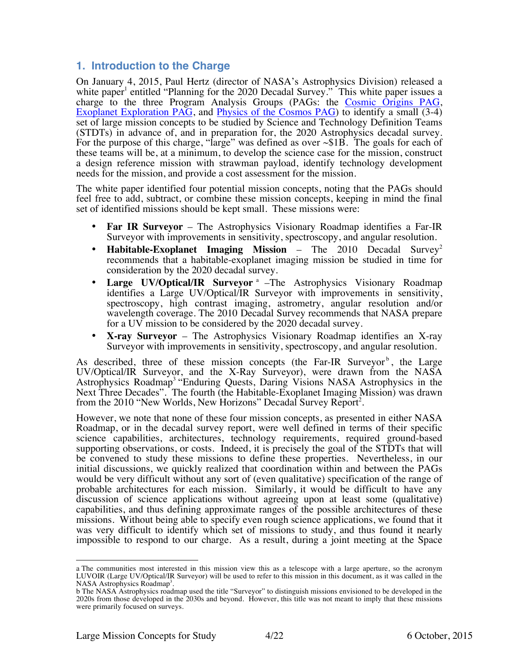## **1. Introduction to the Charge**

On January 4, 2015, Paul Hertz (director of NASA's Astrophysics Division) released a white paper<sup>1</sup> entitled "Planning for the 2020 Decadal Survey." This white paper issues a charge to the three Program Analysis Groups (PAGs: the Cosmic Origins PAG, Exoplanet Exploration PAG, and Physics of the Cosmos PAG) to identify a small (3-4) set of large mission concepts to be studied by Science and Technology Definition Teams (STDTs) in advance of, and in preparation for, the 2020 Astrophysics decadal survey. For the purpose of this charge, "large" was defined as over ~\$1B. The goals for each of these teams will be, at a minimum, to develop the science case for the mission, construct a design reference mission with strawman payload, identify technology development needs for the mission, and provide a cost assessment for the mission.

The white paper identified four potential mission concepts, noting that the PAGs should feel free to add, subtract, or combine these mission concepts, keeping in mind the final set of identified missions should be kept small. These missions were:

- **Far IR Surveyor** The Astrophysics Visionary Roadmap identifies a Far-IR Surveyor with improvements in sensitivity, spectroscopy, and angular resolution.
- **Habitable-Exoplanet Imaging Mission** The 2010 Decadal Survey<sup>2</sup> recommends that a habitable-exoplanet imaging mission be studied in time for consideration by the 2020 decadal survey.
- **Large UV/Optical/IR Surveyor** <sup>a</sup> –The Astrophysics Visionary Roadmap identifies a Large UV/Optical/IR Surveyor with improvements in sensitivity, spectroscopy, high contrast imaging, astrometry, angular resolution and/or wavelength coverage. The 2010 Decadal Survey recommends that NASA prepare for a UV mission to be considered by the 2020 decadal survey.
- **X-ray Surveyor** The Astrophysics Visionary Roadmap identifies an X-ray Surveyor with improvements in sensitivity, spectroscopy, and angular resolution.

As described, three of these mission concepts (the Far-IR Surveyor<sup>b</sup>, the Large UV/Optical/IR Surveyor, and the X-Ray Surveyor), were drawn from the NASA Astrophysics Roadmap<sup>3</sup> "Enduring Quests, Daring Visions NASA Astrophysics in the Next Three Decades". The fourth (the Habitable-Exoplanet Imaging Mission) was drawn from the 2010 "New Worlds, New Horizons" Decadal Survey Report<sup>2</sup>.

However, we note that none of these four mission concepts, as presented in either NASA Roadmap, or in the decadal survey report, were well defined in terms of their specific science capabilities, architectures, technology requirements, required ground-based supporting observations, or costs. Indeed, it is precisely the goal of the STDTs that will be convened to study these missions to define these properties. Nevertheless, in our initial discussions, we quickly realized that coordination within and between the PAGs would be very difficult without any sort of (even qualitative) specification of the range of probable architectures for each mission. Similarly, it would be difficult to have any discussion of science applications without agreeing upon at least some (qualitative) capabilities, and thus defining approximate ranges of the possible architectures of these missions. Without being able to specify even rough science applications, we found that it was very difficult to identify which set of missions to study, and thus found it nearly impossible to respond to our charge. As a result, during a joint meeting at the Space

a The communities most interested in this mission view this as a telescope with a large aperture, so the acronym LUVOIR (Large UV/Optical/IR Surveyor) will be used to refer to this mission in this document, as it was called in the NASA Astrophysics Roadmap<sup>3</sup>.

b The NASA Astrophysics roadmap used the title "Surveyor" to distinguish missions envisioned to be developed in the 2020s from those developed in the 2030s and beyond. However, this title was not meant to imply that these missions were primarily focused on surveys.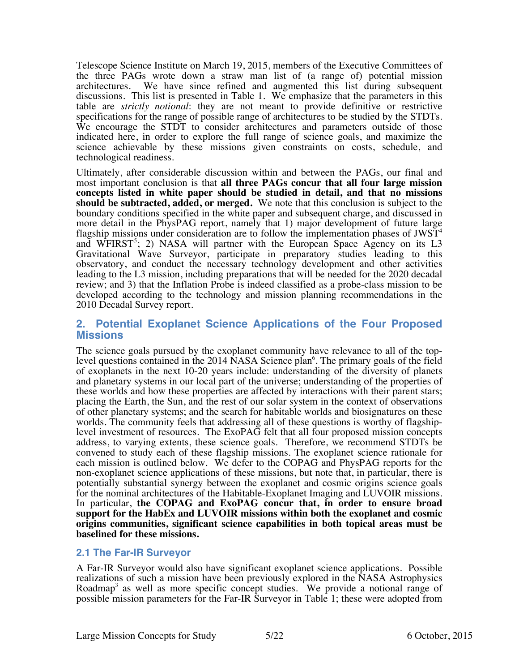Telescope Science Institute on March 19, 2015, members of the Executive Committees of the three PAGs wrote down a straw man list of (a range of) potential mission architectures. We have since refined and augmented this list during subsequent discussions. This list is presented in Table 1. We emphasize that the parameters in this table are *strictly notional*: they are not meant to provide definitive or restrictive specifications for the range of possible range of architectures to be studied by the STDTs. We encourage the STDT to consider architectures and parameters outside of those indicated here, in order to explore the full range of science goals, and maximize the science achievable by these missions given constraints on costs, schedule, and technological readiness.

Ultimately, after considerable discussion within and between the PAGs, our final and most important conclusion is that **all three PAGs concur that all four large mission concepts listed in white paper should be studied in detail, and that no missions should be subtracted, added, or merged.** We note that this conclusion is subject to the boundary conditions specified in the white paper and subsequent charge, and discussed in more detail in the PhysPAG report, namely that 1) major development of future large flagship missions under consideration are to follow the implementation phases of  $JWST<sup>4</sup>$ and WFIRST<sup>5</sup>; 2) NASA will partner with the European Space Agency on its L3 Gravitational Wave Surveyor, participate in preparatory studies leading to this observatory, and conduct the necessary technology development and other activities leading to the L3 mission, including preparations that will be needed for the 2020 decadal review; and 3) that the Inflation Probe is indeed classified as a probe-class mission to be developed according to the technology and mission planning recommendations in the 2010 Decadal Survey report.

## **2. Potential Exoplanet Science Applications of the Four Proposed Missions**

The science goals pursued by the exoplanet community have relevance to all of the toplevel questions contained in the 2014 NASA Science plan<sup>6</sup>. The primary goals of the field of exoplanets in the next 10-20 years include: understanding of the diversity of planets and planetary systems in our local part of the universe; understanding of the properties of these worlds and how these properties are affected by interactions with their parent stars; placing the Earth, the Sun, and the rest of our solar system in the context of observations of other planetary systems; and the search for habitable worlds and biosignatures on these worlds. The community feels that addressing all of these questions is worthy of flagshiplevel investment of resources. The ExoPAG felt that all four proposed mission concepts address, to varying extents, these science goals. Therefore, we recommend STDTs be convened to study each of these flagship missions. The exoplanet science rationale for each mission is outlined below. We defer to the COPAG and PhysPAG reports for the non-exoplanet science applications of these missions, but note that, in particular, there is potentially substantial synergy between the exoplanet and cosmic origins science goals for the nominal architectures of the Habitable-Exoplanet Imaging and LUVOIR missions. In particular, the COPAG and ExoPAG concur that, in order to ensure broad **support for the HabEx and LUVOIR missions within both the exoplanet and cosmic origins communities, significant science capabilities in both topical areas must be baselined for these missions.**

## **2.1 The Far-IR Surveyor**

A Far-IR Surveyor would also have significant exoplanet science applications. Possible realizations of such a mission have been previously explored in the NASA Astrophysics Roadmap<sup>3</sup> as well as more specific concept studies. We provide a notional range of possible mission parameters for the Far-IR Surveyor in Table 1; these were adopted from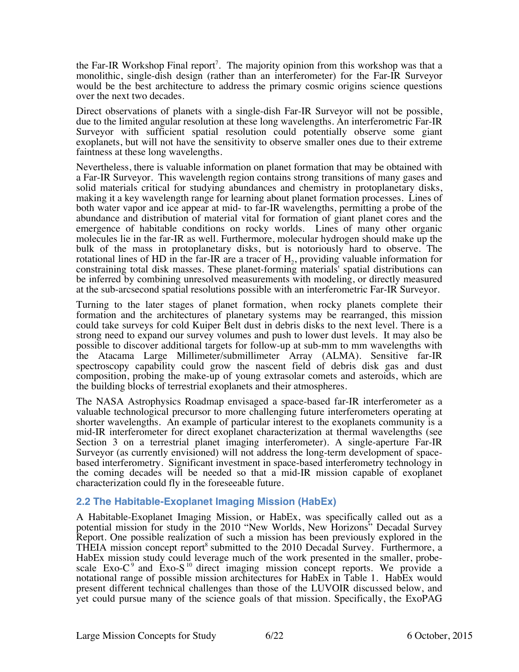the Far-IR Workshop Final report<sup>7</sup>. The majority opinion from this workshop was that a monolithic, single-dish design (rather than an interferometer) for the Far-IR Surveyor would be the best architecture to address the primary cosmic origins science questions over the next two decades.

Direct observations of planets with a single-dish Far-IR Surveyor will not be possible, due to the limited angular resolution at these long wavelengths. An interferometric Far-IR Surveyor with sufficient spatial resolution could potentially observe some giant exoplanets, but will not have the sensitivity to observe smaller ones due to their extreme faintness at these long wavelengths.

Nevertheless, there is valuable information on planet formation that may be obtained with a Far-IR Surveyor. This wavelength region contains strong transitions of many gases and solid materials critical for studying abundances and chemistry in protoplanetary disks, making it a key wavelength range for learning about planet formation processes. Lines of both water vapor and ice appear at mid- to far-IR wavelengths, permitting a probe of the abundance and distribution of material vital for formation of giant planet cores and the emergence of habitable conditions on rocky worlds. Lines of many other organic molecules lie in the far-IR as well. Furthermore, molecular hydrogen should make up the bulk of the mass in protoplanetary disks, but is notoriously hard to observe. The rotational lines of HD in the far-IR are a tracer of  $H_2$ , providing valuable information for constraining total disk masses. These planet-forming materials' spatial distributions can be inferred by combining unresolved measurements with modeling, or directly measured at the sub-arcsecond spatial resolutions possible with an interferometric Far-IR Surveyor.

Turning to the later stages of planet formation, when rocky planets complete their formation and the architectures of planetary systems may be rearranged, this mission could take surveys for cold Kuiper Belt dust in debris disks to the next level. There is a strong need to expand our survey volumes and push to lower dust levels. It may also be possible to discover additional targets for follow-up at sub-mm to mm wavelengths with the Atacama Large Millimeter/submillimeter Array (ALMA). Sensitive far-IR spectroscopy capability could grow the nascent field of debris disk gas and dust composition, probing the make-up of young extrasolar comets and asteroids, which are the building blocks of terrestrial exoplanets and their atmospheres.

The NASA Astrophysics Roadmap envisaged a space-based far-IR interferometer as a valuable technological precursor to more challenging future interferometers operating at shorter wavelengths. An example of particular interest to the exoplanets community is a mid-IR interferometer for direct exoplanet characterization at thermal wavelengths (see Section 3 on a terrestrial planet imaging interferometer). A single-aperture Far-IR<br>Surveyor (as currently envisioned) will not address the long-term development of spacebased interferometry. Significant investment in space-based interferometry technology in the coming decades will be needed so that a mid-IR mission capable of exoplanet characterization could fly in the foreseeable future.

## **2.2 The Habitable-Exoplanet Imaging Mission (HabEx)**

A Habitable-Exoplanet Imaging Mission, or HabEx, was specifically called out as a potential mission for study in the 2010 "New Worlds, New Horizons" Decadal Survey Report. One possible realization of such a mission has been previously explored in the THEIA mission concept report<sup>8</sup> submitted to the 2010 Decadal Survey. Furthermore, a HabEx mission study could leverage much of the work presented in the smaller, probescale Exo- $C<sup>9</sup>$  and Exo-S<sup>10</sup> direct imaging mission concept reports. We provide a notational range of possible mission architectures for HabEx in Table 1. HabEx would present different technical challenges than those of the LUVOIR discussed below, and yet could pursue many of the science goals of that mission. Specifically, the ExoPAG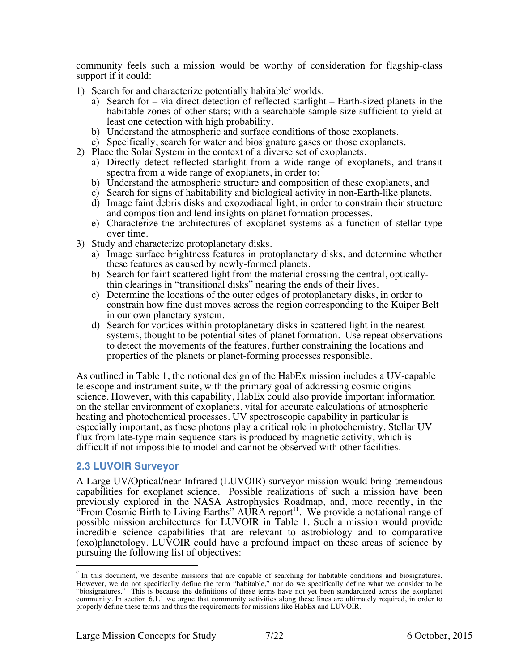community feels such a mission would be worthy of consideration for flagship-class support if it could:

- 1) Search for and characterize potentially habitable<sup>c</sup> worlds.
	- a) Search for via direct detection of reflected starlight Earth-sized planets in the habitable zones of other stars; with a searchable sample size sufficient to yield at least one detection with high probability.
	- b) Understand the atmospheric and surface conditions of those exoplanets.
	- c) Specifically, search for water and biosignature gases on those exoplanets.
- 2) Place the Solar System in the context of a diverse set of exoplanets.
	- a) Directly detect reflected starlight from a wide range of exoplanets, and transit spectra from a wide range of exoplanets, in order to:
	- b) Understand the atmospheric structure and composition of these exoplanets, and
	- c) Search for signs of habitability and biological activity in non-Earth-like planets.
	- d) Image faint debris disks and exozodiacal light, in order to constrain their structure and composition and lend insights on planet formation processes.
	- e) Characterize the architectures of exoplanet systems as a function of stellar type over time.
- 3) Study and characterize protoplanetary disks.
	- a) Image surface brightness features in protoplanetary disks, and determine whether these features as caused by newly-formed planets.
	- b) Search for faint scattered light from the material crossing the central, opticallythin clearings in "transitional disks" nearing the ends of their lives.
	- c) Determine the locations of the outer edges of protoplanetary disks, in order to constrain how fine dust moves across the region corresponding to the Kuiper Belt in our own planetary system.
	- d) Search for vortices within protoplanetary disks in scattered light in the nearest systems, thought to be potential sites of planet formation. Use repeat observations to detect the movements of the features, further constraining the locations and properties of the planets or planet-forming processes responsible.

As outlined in Table 1, the notional design of the HabEx mission includes a UV-capable telescope and instrument suite, with the primary goal of addressing cosmic origins science. However, with this capability, HabEx could also provide important information on the stellar environment of exoplanets, vital for accurate calculations of atmospheric heating and photochemical processes. UV spectroscopic capability in particular is especially important, as these photons play a critical role in photochemistry. Stellar UV flux from late-type main sequence stars is produced by magnetic activity, which is difficult if not impossible to model and cannot be observed with other facilities.

## **2.3 LUVOIR Surveyor**

A Large UV/Optical/near-Infrared (LUVOIR) surveyor mission would bring tremendous capabilities for exoplanet science. Possible realizations of such a mission have been previously explored in the NASA Astrophysics Roadmap, and, more recently, in the "From Cosmic Birth to Living Earths" AURA report<sup>11</sup>. We provide a notational range of possible mission architectures for LUVOIR in Table 1. Such a mission would provide incredible science capabilities that are relevant to astrobiology and to comparative (exo)planetology. LUVOIR could have a profound impact on these areas of science by pursuing the following list of objectives:

c In this document, we describe missions that are capable of searching for habitable conditions and biosignatures. However, we do not specifically define the term "habitable," nor do we specifically define what we consider to be "biosignatures." This is because the definitions of these terms have not yet been standardized across the exoplanet community. In section 6.1.1 we argue that community activities along these lines are ultimately required, in order to properly define these terms and thus the requirements for missions like HabEx and LUVOIR.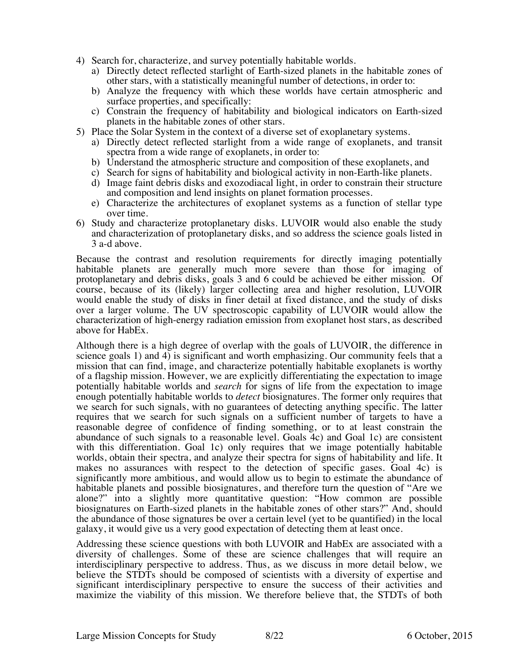- 4) Search for, characterize, and survey potentially habitable worlds.
	- a) Directly detect reflected starlight of Earth-sized planets in the habitable zones of other stars, with a statistically meaningful number of detections, in order to:
	- b) Analyze the frequency with which these worlds have certain atmospheric and surface properties, and specifically:
	- c) Constrain the frequency of habitability and biological indicators on Earth-sized planets in the habitable zones of other stars.
- 5) Place the Solar System in the context of a diverse set of exoplanetary systems.
	- a) Directly detect reflected starlight from a wide range of exoplanets, and transit spectra from a wide range of exoplanets, in order to:
	- b) Understand the atmospheric structure and composition of these exoplanets, and
	- c) Search for signs of habitability and biological activity in non-Earth-like planets.
	- d) Image faint debris disks and exozodiacal light, in order to constrain their structure and composition and lend insights on planet formation processes.
	- e) Characterize the architectures of exoplanet systems as a function of stellar type over time.
- 6) Study and characterize protoplanetary disks. LUVOIR would also enable the study and characterization of protoplanetary disks, and so address the science goals listed in 3 a-d above.

Because the contrast and resolution requirements for directly imaging potentially habitable planets are generally much more severe than those for imaging of protoplanetary and debris disks, goals 3 and 6 could be achieved be either mission. Of course, because of its (likely) larger collecting area and higher resolution, LUVOIR would enable the study of disks in finer detail at fixed distance, and the study of disks over a larger volume. The UV spectroscopic capability of LUVOIR would allow the characterization of high-energy radiation emission from exoplanet host stars, as described above for HabEx.

Although there is a high degree of overlap with the goals of LUVOIR, the difference in science goals 1) and 4) is significant and worth emphasizing. Our community feels that a mission that can find, image, and characterize potentially habitable exoplanets is worthy of a flagship mission. However, we are explicitly differentiating the expectation to image potentially habitable worlds and *search* for signs of life from the expectation to image enough potentially habitable worlds to *detect* biosignatures. The former only requires that we search for such signals, with no guarantees of detecting anything specific. The latter requires that we search for such signals on a sufficient number of targets to have a reasonable degree of confidence of finding something, or to at least constrain the abundance of such signals to a reasonable level. Goals 4c) and Goal 1c) are consistent with this differentiation. Goal 1c) only requires that we image potentially habitable worlds, obtain their spectra, and analyze their spectra for signs of habitability and life. It makes no assurances with respect to the detection of specific gases. Goal 4c) is significantly more ambitious, and would allow us to begin to estimate the abundance of habitable planets and possible biosignatures, and therefore turn the question of "Are we alone?" into a slightly more quantitative question: "How common are possible biosignatures on Earth-sized planets in the habitable zones of other stars?" And, should the abundance of those signatures be over a certain level (yet to be quantified) in the local galaxy, it would give us a very good expectation of detecting them at least once.

Addressing these science questions with both LUVOIR and HabEx are associated with a diversity of challenges. Some of these are science challenges that will require an interdisciplinary perspective to address. Thus, as we discuss in more detail below, we believe the STDTs should be composed of scientists with a diversity of expertise and significant interdisciplinary perspective to ensure the success of their activities and maximize the viability of this mission. We therefore believe that, the STDTs of both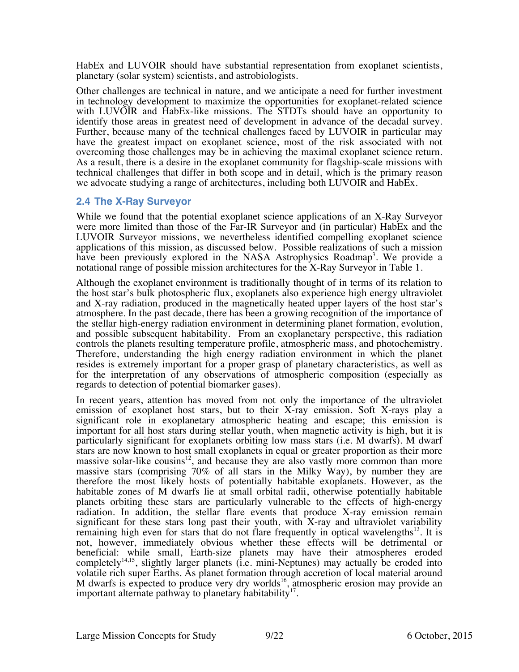HabEx and LUVOIR should have substantial representation from exoplanet scientists, planetary (solar system) scientists, and astrobiologists.

Other challenges are technical in nature, and we anticipate a need for further investment in technology development to maximize the opportunities for exoplanet-related science with LUVOIR and HabEx-like missions. The STDTs should have an opportunity to identify those areas in greatest need of development in advance of the decadal survey. Further, because many of the technical challenges faced by LUVOIR in particular may have the greatest impact on exoplanet science, most of the risk associated with not overcoming those challenges may be in achieving the maximal exoplanet science return. As a result, there is a desire in the exoplanet community for flagship-scale missions with technical challenges that differ in both scope and in detail, which is the primary reason we advocate studying a range of architectures, including both LUVOIR and HabEx.

## **2.4 The X-Ray Surveyor**

While we found that the potential exoplanet science applications of an X-Ray Surveyor were more limited than those of the Far-IR Surveyor and (in particular) HabEx and the LUVOIR Surveyor missions, we nevertheless identified compelling exoplanet science applications of this mission, as discussed below. Possible realizations of such a mission have been previously explored in the NASA Astrophysics Roadmap<sup>3</sup>. We provide a notational range of possible mission architectures for the X-Ray Surveyor in Table 1.

Although the exoplanet environment is traditionally thought of in terms of its relation to the host star's bulk photospheric flux, exoplanets also experience high energy ultraviolet and X-ray radiation, produced in the magnetically heated upper layers of the host star's atmosphere. In the past decade, there has been a growing recognition of the importance of the stellar high-energy radiation environment in determining planet formation, evolution, and possible subsequent habitability. From an exoplanetary perspective, this radiation controls the planets resulting temperature profile, atmospheric mass, and photochemistry. Therefore, understanding the high energy radiation environment in which the planet resides is extremely important for a proper grasp of planetary characteristics, as well as for the interpretation of any observations of atmospheric composition (especially as regards to detection of potential biomarker gases).

In recent years, attention has moved from not only the importance of the ultraviolet emission of exoplanet host stars, but to their X-ray emission. Soft X-rays play a significant role in exoplanetary atmospheric heating and escape; this emission is important for all host stars during stellar youth, when magnetic activity is high, but it is particularly significant for exoplanets orbiting low mass stars (i.e. M dwarfs). M dwarf stars are now known to host small exoplanets in equal or greater proportion as their more massive solar-like cousins<sup>12</sup>, and because they are also vastly more common than more massive stars (comprising 70% of all stars in the Milky Way), by number they are therefore the most likely hosts of potentially habitable exoplanets. However, as the habitable zones of M dwarfs lie at small orbital radii, otherwise potentially habitable planets orbiting these stars are particularly vulnerable to the effects of high-energy radiation. In addition, the stellar flare events that produce X-ray emission remain significant for these stars long past their youth, with X-ray and ultraviolet variability remaining high even for stars that do not flare frequently in optical wavelengths $13$ . It is not, however, immediately obvious whether these effects will be detrimental or beneficial: while small, Earth-size planets may have their atmospheres eroded completely $14,15$ , slightly larger planets (i.e. mini-Neptunes) may actually be eroded into volatile rich super Earths. As planet formation through accretion of local material around M dwarfs is expected to produce very dry worlds<sup>16</sup>, atmospheric erosion may provide an important alternate pathway to planetary habitability<sup>17</sup>.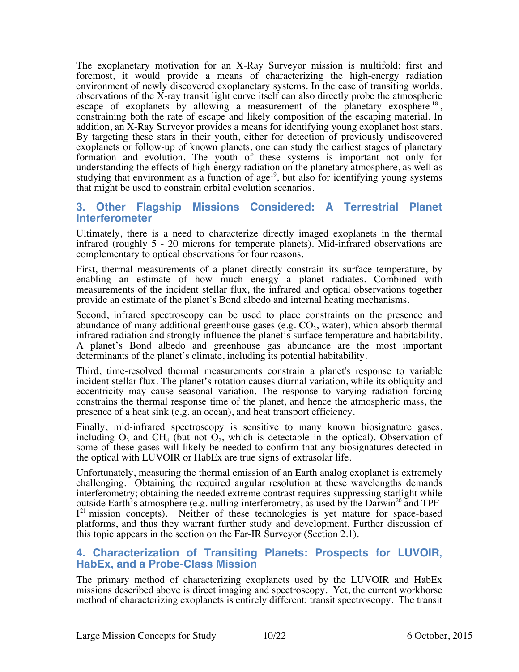The exoplanetary motivation for an X-Ray Surveyor mission is multifold: first and foremost, it would provide a means of characterizing the high-energy radiation environment of newly discovered exoplanetary systems. In the case of transiting worlds, observations of the X-ray transit light curve itself can also directly probe the atmospheric escape of exoplanets by allowing a measurement of the planetary exosphere  $18$ , constraining both the rate of escape and likely composition of the escaping material. In addition, an X-Ray Surveyor provides a means for identifying young exoplanet host stars. By targeting these stars in their youth, either for detection of previously undiscovered exoplanets or follow-up of known planets, one can study the earliest stages of planetary formation and evolution. The youth of these systems is important not only for understanding the effects of high-energy radiation on the planetary atmosphere, as well as studying that environment as a function of  $age<sup>19</sup>$ , but also for identifying young systems that might be used to constrain orbital evolution scenarios.

## **3. Other Flagship Missions Considered: A Terrestrial Planet Interferometer**

Ultimately, there is a need to characterize directly imaged exoplanets in the thermal infrared (roughly 5 - 20 microns for temperate planets). Mid-infrared observations are complementary to optical observations for four reasons.

First, thermal measurements of a planet directly constrain its surface temperature, by enabling an estimate of how much energy a planet radiates. Combined with measurements of the incident stellar flux, the infrared and optical observations together provide an estimate of the planet's Bond albedo and internal heating mechanisms.

Second, infrared spectroscopy can be used to place constraints on the presence and abundance of many additional greenhouse gases (e.g.  $CO<sub>2</sub>$ , water), which absorb thermal infrared radiation and strongly influence the planet's surface temperature and habitability. A planet's Bond albedo and greenhouse gas abundance are the most important determinants of the planet's climate, including its potential habitability.

Third, time-resolved thermal measurements constrain a planet's response to variable incident stellar flux. The planet's rotation causes diurnal variation, while its obliquity and eccentricity may cause seasonal variation. The response to varying radiation forcing constrains the thermal response time of the planet, and hence the atmospheric mass, the presence of a heat sink (e.g. an ocean), and heat transport efficiency.

Finally, mid-infrared spectroscopy is sensitive to many known biosignature gases, including  $O_3$  and CH<sub>4</sub> (but not  $O_2$ , which is detectable in the optical). Observation of some of these gases will likely be needed to confirm that any biosignatures detected in the optical with LUVOIR or HabEx are true signs of extrasolar life.

Unfortunately, measuring the thermal emission of an Earth analog exoplanet is extremely challenging. Obtaining the required angular resolution at these wavelengths demands interferometry; obtaining the needed extreme contrast requires suppressing starlight while outside Earth's atmosphere (e.g. nulling interferometry, as used by the Darwin<sup>20</sup> and TPFoutside Earth's atmosphere (e.g. nulling interferometry, as used by the Darwin<sup>20</sup> and TPF-<br> $I<sup>21</sup>$  mission concepts). Neither of these technologies is yet mature for space-based platforms, and thus they warrant further study and development. Further discussion of this topic appears in the section on the Far-IR Surveyor (Section 2.1).

## **4. Characterization of Transiting Planets: Prospects for LUVOIR, HabEx, and a Probe-Class Mission**

The primary method of characterizing exoplanets used by the LUVOIR and HabEx missions described above is direct imaging and spectroscopy. Yet, the current workhorse method of characterizing exoplanets is entirely different: transit spectroscopy. The transit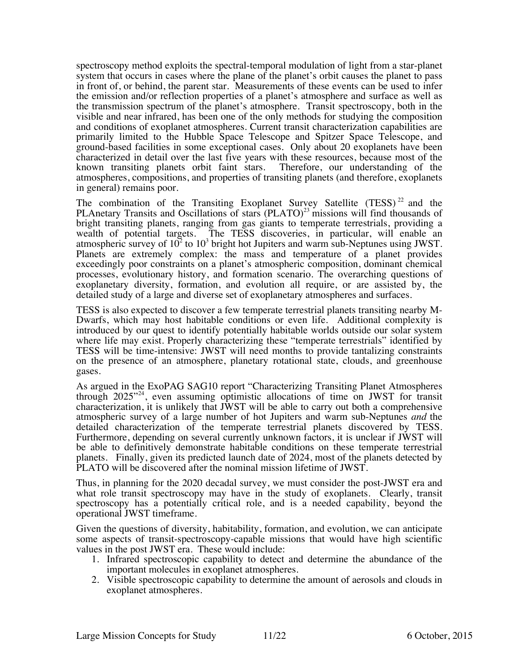spectroscopy method exploits the spectral-temporal modulation of light from a star-planet system that occurs in cases where the plane of the planet's orbit causes the planet to pass in front of, or behind, the parent star. Measurements of these events can be used to infer the emission and/or reflection properties of a planet's atmosphere and surface as well as the transmission spectrum of the planet's atmosphere. Transit spectroscopy, both in the visible and near infrared, has been one of the only methods for studying the composition and conditions of exoplanet atmospheres. Current transit characterization capabilities are primarily limited to the Hubble Space Telescope and Spitzer Space Telescope, and ground-based facilities in some exceptional cases. Only about 20 exoplanets have been characterized in detail over the last five years with these resources, because most of the known transiting planets orbit faint stars. Therefore, our understanding of the known transiting planets orbit faint stars. atmospheres, compositions, and properties of transiting planets (and therefore, exoplanets in general) remains poor.

The combination of the Transiting Exoplanet Survey Satellite (TESS)<sup>22</sup> and the PLAnetary Transits and Oscillations of stars (PLATO)<sup>23</sup> missions will find thousands of bright transiting planets, ranging from gas giants to temperate terrestrials, providing a wealth of potential targets. The TESS discoveries, in particular, will enable an atmospheric survey of  $10^2$  to  $10^3$  bright hot Jupiters and warm sub-Neptunes using JWST. Planets are extremely complex: the mass and temperature of a planet provides exceedingly poor constraints on a planet's atmospheric composition, dominant chemical processes, evolutionary history, and formation scenario. The overarching questions of exoplanetary diversity, formation, and evolution all require, or are assisted by, the detailed study of a large and diverse set of exoplanetary atmospheres and surfaces.

TESS is also expected to discover a few temperate terrestrial planets transiting nearby M-Dwarfs, which may host habitable conditions or even life. Additional complexity is introduced by our quest to identify potentially habitable worlds outside our solar system where life may exist. Properly characterizing these "temperate terrestrials" identified by TESS will be time-intensive: JWST will need months to provide tantalizing constraints on the presence of an atmosphere, planetary rotational state, clouds, and greenhouse gases.

As argued in the ExoPAG SAG10 report "Characterizing Transiting Planet Atmospheres through  $2025^{\prime\prime24}$ , even assuming optimistic allocations of time on JWST for transit characterization, it is unlikely that JWST will be able to carry out both a comprehensive atmospheric survey of a large number of hot Jupiters and warm sub-Neptunes *and* the detailed characterization of the temperate terrestrial planets discovered by TESS. Furthermore, depending on several currently unknown factors, it is unclear if JWST will be able to definitively demonstrate habitable conditions on these temperate terrestrial planets. Finally, given its predicted launch date of 2024, most of the planets detected by PLATO will be discovered after the nominal mission lifetime of JWST.

Thus, in planning for the 2020 decadal survey, we must consider the post-JWST era and what role transit spectroscopy may have in the study of exoplanets. Clearly, transit spectroscopy has a potentially critical role, and is a needed capability, beyond the operational JWST timeframe.

Given the questions of diversity, habitability, formation, and evolution, we can anticipate some aspects of transit-spectroscopy-capable missions that would have high scientific values in the post JWST era. These would include:

- 1. Infrared spectroscopic capability to detect and determine the abundance of the important molecules in exoplanet atmospheres.
- 2. Visible spectroscopic capability to determine the amount of aerosols and clouds in exoplanet atmospheres.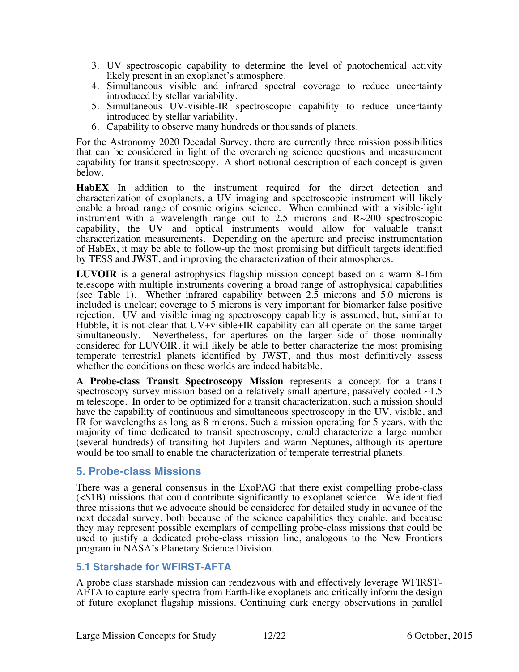- 3. UV spectroscopic capability to determine the level of photochemical activity likely present in an exoplanet's atmosphere.
- 4. Simultaneous visible and infrared spectral coverage to reduce uncertainty introduced by stellar variability.
- 5. Simultaneous UV-visible-IR spectroscopic capability to reduce uncertainty introduced by stellar variability.
- 6. Capability to observe many hundreds or thousands of planets.

For the Astronomy 2020 Decadal Survey, there are currently three mission possibilities that can be considered in light of the overarching science questions and measurement capability for transit spectroscopy. A short notional description of each concept is given below.

**HabEX** In addition to the instrument required for the direct detection and characterization of exoplanets, a UV imaging and spectroscopic instrument will likely enable a broad range of cosmic origins science. When combined with a visible-light instrument with a wavelength range out to 2.5 microns and  $R \sim 200$  spectroscopic capability, the UV and optical instruments would allow for valuable transit characterization measurements. Depending on the aperture and precise instrumentation of HabEx, it may be able to follow-up the most promising but difficult targets identified by TESS and JWST, and improving the characterization of their atmospheres.

**LUVOIR** is a general astrophysics flagship mission concept based on a warm 8-16m telescope with multiple instruments covering a broad range of astrophysical capabilities (see Table 1). Whether infrared capability between  $2.\overline{5}$  microns and  $5.0$  microns is included is unclear; coverage to 5 microns is very important for biomarker false positive rejection. UV and visible imaging spectroscopy capability is assumed, but, similar to Hubble, it is not clear that UV+visible+IR capability can all operate on the same target simultaneously. Nevertheless, for apertures on the larger side of those nominally considered for LUVOIR, it will likely be able to better characterize the most promising temperate terrestrial planets identified by JWST, and thus most definitively assess whether the conditions on these worlds are indeed habitable.

**A Probe-class Transit Spectroscopy Mission** represents a concept for a transit spectroscopy survey mission based on a relatively small-aperture, passively cooled  $\sim$ 1.5 m telescope. In order to be optimized for a transit characterization, such a mission should have the capability of continuous and simultaneous spectroscopy in the UV, visible, and IR for wavelengths as long as 8 microns. Such a mission operating for 5 years, with the majority of time dedicated to transit spectroscopy, could characterize a large number (several hundreds) of transiting hot Jupiters and warm Neptunes, although its aperture would be too small to enable the characterization of temperate terrestrial planets.

#### **5. Probe-class Missions**

There was a general consensus in the ExoPAG that there exist compelling probe-class (<\$1B) missions that could contribute significantly to exoplanet science. We identified three missions that we advocate should be considered for detailed study in advance of the next decadal survey, both because of the science capabilities they enable, and because they may represent possible exemplars of compelling probe-class missions that could be used to justify a dedicated probe-class mission line, analogous to the New Frontiers program in NASA's Planetary Science Division.

#### **5.1 Starshade for WFIRST-AFTA**

A probe class starshade mission can rendezvous with and effectively leverage WFIRST- AFTA to capture early spectra from Earth-like exoplanets and critically inform the design of future exoplanet flagship missions. Continuing dark energy observations in parallel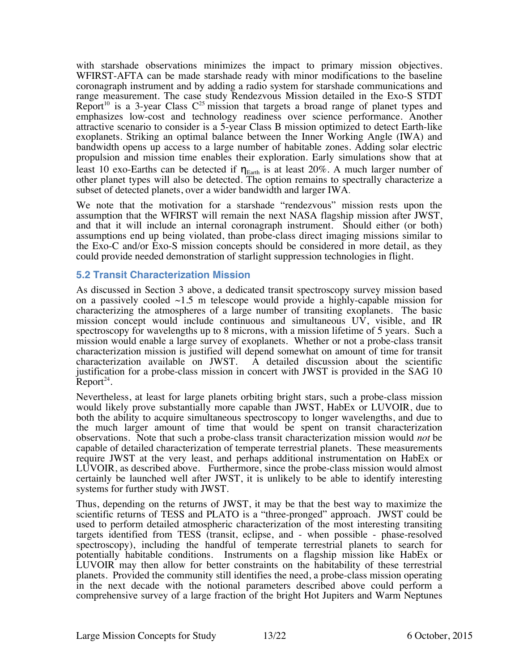with starshade observations minimizes the impact to primary mission objectives. WFIRST-AFTA can be made starshade ready with minor modifications to the baseline coronagraph instrument and by adding a radio system for starshade communications and range measurement. The case study Rendezvous Mission detailed in the Exo-S STDT Report<sup>10</sup> is a 3-year Class  $C^{25}$  mission that targets a broad range of planet types and emphasizes low-cost and technology readiness over science performance. Another attractive scenario to consider is a 5-year Class B mission optimized to detect Earth-like exoplanets. Striking an optimal balance between the Inner Working Angle (IWA) and bandwidth opens up access to a large number of habitable zones. Adding solar electric propulsion and mission time enables their exploration. Early simulations show that at least 10 exo-Earths can be detected if  $\eta_{\text{Earth}}$  is at least 20%. A much larger number of other planet types will also be detected. The option remains to spectrally characterize a subset of detected planets, over a wider bandwidth and larger IWA.

We note that the motivation for a starshade "rendezvous" mission rests upon the assumption that the WFIRST will remain the next NASA flagship mission after JWST, and that it will include an internal coronagraph instrument. Should either (or both) assumptions end up being violated, than probe-class direct imaging missions similar to the Exo-C and/or Exo-S mission concepts should be considered in more detail, as they could provide needed demonstration of starlight suppression technologies in flight.

## **5.2 Transit Characterization Mission**

As discussed in Section 3 above, a dedicated transit spectroscopy survey mission based on a passively cooled  $\sim$ 1.5 m telescope would provide a highly-capable mission for characterizing the atmospheres of a large number of transiting exoplanets. The basic mission concept would include continuous and simultaneous UV, visible, and IR spectroscopy for wavelengths up to 8 microns, with a mission lifetime of 5 years. Such a mission would enable a large survey of exoplanets. Whether or not a probe-class transit characterization mission is justified will depend somewhat on amount of time for transit characterization available on JWST. A detailed discussion about the scientific A detailed discussion about the scientific justification for a probe-class mission in concert with JWST is provided in the SAG 10 Report<sup>24</sup>.

Nevertheless, at least for large planets orbiting bright stars, such a probe-class mission would likely prove substantially more capable than JWST, HabEx or LUVOIR, due to both the ability to acquire simultaneous spectroscopy to longer wavelengths, and due to the much larger amount of time that would be spent on transit characterization observations. Note that such a probe-class transit characterization mission would *not* be capable of detailed characterization of temperate terrestrial planets. These measurements require JWST at the very least, and perhaps additional instrumentation on HabEx or LUVOIR, as described above. Furthermore, since the probe-class mission would almost certainly be launched well after JWST, it is unlikely to be able to identify interesting systems for further study with JWST.

Thus, depending on the returns of JWST, it may be that the best way to maximize the scientific returns of TESS and PLATO is a "three-pronged" approach. JWST could be used to perform detailed atmospheric characterization of the most interesting transiting targets identified from TESS (transit, eclipse, and - when possible - phase-resolved spectroscopy), including the handful of temperate terrestrial planets to search for potentially habitable conditions. Instruments on a flagship mission like HabEx or LUVOIR may then allow for better constraints on the habitability of these terrestrial planets. Provided the community still identifies the need, a probe-class mission operating in the next decade with the notional parameters described above could perform a comprehensive survey of a large fraction of the bright Hot Jupiters and Warm Neptunes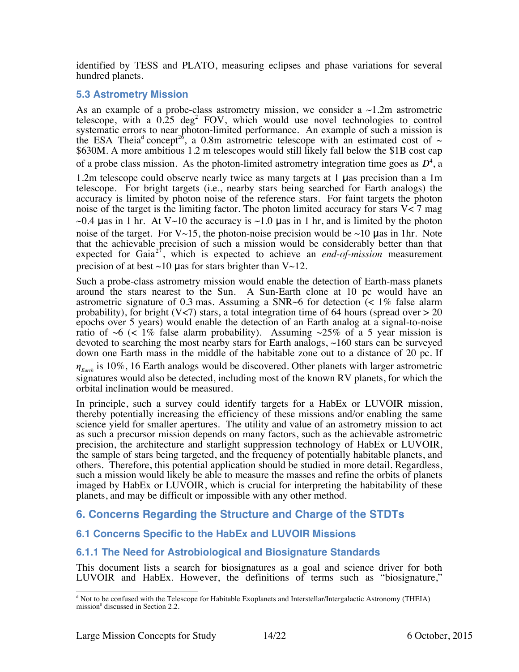identified by TESS and PLATO, measuring eclipses and phase variations for several hundred planets.

## **5.3 Astrometry Mission**

As an example of a probe-class astrometry mission, we consider a  $\sim$ 1.2m astrometric telescope, with a  $0.25 \text{ deg}^2$  FOV, which would use novel technologies to control systematic errors to near photon-limited performance. An example of such a mission is the ESA Theia<sup>d</sup> concept<sup>26</sup>, a 0.8m astrometric telescope with an estimated cost of  $\sim$ \$630M. A more ambitious 1.2 m telescopes would still likely fall below the \$1B cost cap of a probe class mission. As the photon-limited astrometry integration time goes as  $D^4$ , a

1.2m telescope could observe nearly twice as many targets at 1 μas precision than a 1m telescope. For bright targets (i.e., nearby stars being searched for Earth analogs) the accuracy is limited by photon noise of the reference stars. For faint targets the photon noise of the target is the limiting factor. The photon limited accuracy for stars  $V < 7$  mag  $\sim$ 0.4 μas in 1 hr. At V $\sim$ 10 the accuracy is  $\sim$ 1.0 μas in 1 hr, and is limited by the photon noise of the target. For  $V \sim 15$ , the photon-noise precision would be  $\sim 10$  µas in 1hr. Note that the achievable precision of such a mission would be considerably better than that expected for Gaia<sup>27</sup>, which is expected to achieve an *end-of-mission* measurement precision of at best  $\sim$ 10 µas for stars brighter than V $\sim$ 12.

Such a probe-class astrometry mission would enable the detection of Earth-mass planets around the stars nearest to the Sun. A Sun-Earth clone at 10 pc would have an astrometric signature of 0.3 mas. Assuming a  $SNR~6$  for detection (< 1% false alarm probability), for bright (V<7) stars, a total integration time of 64 hours (spread over  $> 20$ epochs over 5 years) would enable the detection of an Earth analog at a signal-to-noise ratio of  $\sim 6$  (< 1% false alarm probability). Assuming  $\sim 25\%$  of a 5 year mission is devoted to searching the most nearby stars for Earth analogs, ~160 stars can be surveyed down one Earth mass in the middle of the habitable zone out to a distance of 20 pc. If  $\eta_{\text{Earth}}$  is 10%, 16 Earth analogs would be discovered. Other planets with larger astrometric signatures would also be detected, including most of the known RV planets, for which the orbital inclination would be measured.

In principle, such a survey could identify targets for a HabEx or LUVOIR mission, thereby potentially increasing the efficiency of these missions and/or enabling the same science yield for smaller apertures. The utility and value of an astrometry mission to act as such a precursor mission depends on many factors, such as the achievable astrometric precision, the architecture and starlight suppression technology of HabEx or LUVOIR, the sample of stars being targeted, and the frequency of potentially habitable planets, and others. Therefore, this potential application should be studied in more detail. Regardless, such a mission would likely be able to measure the masses and refine the orbits of planets imaged by HabEx or LUVOIR, which is crucial for interpreting the habitability of these planets, and may be difficult or impossible with any other method.

## **6. Concerns Regarding the Structure and Charge of the STDTs**

## **6.1 Concerns Specific to the HabEx and LUVOIR Missions**

## **6.1.1 The Need for Astrobiological and Biosignature Standards**

This document lists a search for biosignatures as a goal and science driver for both LUVOIR and HabEx. However, the definitions of terms such as "biosignature,"

<sup>&</sup>lt;sup>d</sup> Not to be confused with the Telescope for Habitable Exoplanets and Interstellar/Intergalactic Astronomy (THEIA) mission<sup>8</sup> discussed in Section 2.2.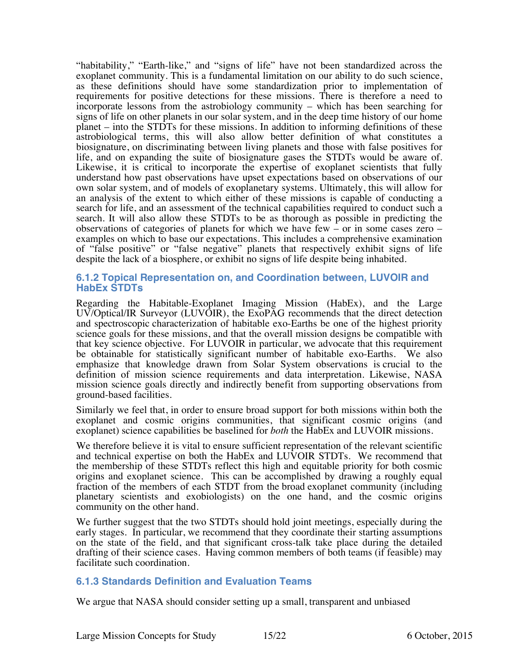"habitability," "Earth-like," and "signs of life" have not been standardized across the exoplanet community. This is a fundamental limitation on our ability to do such science, as these definitions should have some standardization prior to implementation of requirements for positive detections for these missions. There is therefore a need to incorporate lessons from the astrobiology community – which has been searching for signs of life on other planets in our solar system, and in the deep time history of our home planet – into the STDTs for these missions. In addition to informing definitions of these astrobiological terms, this will also allow better definition of what constitutes a biosignature, on discriminating between living planets and those with false positives for life, and on expanding the suite of biosignature gases the STDTs would be aware of. Likewise, it is critical to incorporate the expertise of exoplanet scientists that fully understand how past observations have upset expectations based on observations of our own solar system, and of models of exoplanetary systems. Ultimately, this will allow for an analysis of the extent to which either of these missions is capable of conducting a search for life, and an assessment of the technical capabilities required to conduct such a search. It will also allow these STDTs to be as thorough as possible in predicting the observations of categories of planets for which we have few – or in some cases zero – examples on which to base our expectations. This includes a comprehensive examination of "false positive" or "false negative" planets that respectively exhibit signs of life despite the lack of a biosphere, or exhibit no signs of life despite being inhabited.

#### **6.1.2 Topical Representation on, and Coordination between, LUVOIR and HabEx STDTs**

Regarding the Habitable-Exoplanet Imaging Mission (HabEx), and the Large UV/Optical/IR Surveyor (LUVOIR), the ExoPAG recommends that the direct detection and spectroscopic characterization of habitable exo-Earths be one of the highest priority science goals for these missions, and that the overall mission designs be compatible with that key science objective. For LUVOIR in particular, we advocate that this requirement be obtainable for statistically significant number of habitable exo-Earths. We also emphasize that knowledge drawn from Solar System observations is crucial to the definition of mission science requirements and data interpretation. Likewise, NASA mission science goals directly and indirectly benefit from supporting observations from ground-based facilities.

Similarly we feel that, in order to ensure broad support for both missions within both the exoplanet and cosmic origins communities, that significant cosmic origins (and exoplanet) science capabilities be baselined for *both* the HabEx and LUVOIR missions.

We therefore believe it is vital to ensure sufficient representation of the relevant scientific and technical expertise on both the HabEx and LUVOIR STDTs. We recommend that the membership of these STDTs reflect this high and equitable priority for both cosmic origins and exoplanet science. This can be accomplished by drawing a roughly equal fraction of the members of each STDT from the broad exoplanet community (including planetary scientists and exobiologists) on the one hand, and the cosmic origins community on the other hand.

We further suggest that the two STDTs should hold joint meetings, especially during the early stages. In particular, we recommend that they coordinate their starting assumptions on the state of the field, and that significant cross-talk take place during the detailed drafting of their science cases. Having common members of both teams (if feasible) may facilitate such coordination.

## **6.1.3 Standards Definition and Evaluation Teams**

We argue that NASA should consider setting up a small, transparent and unbiased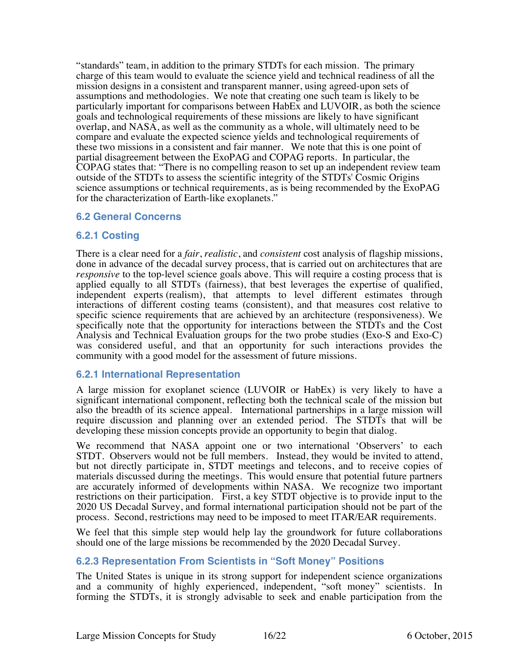"standards" team, in addition to the primary STDTs for each mission. The primary charge of this team would to evaluate the science yield and technical readiness of all the mission designs in a consistent and transparent manner, using agreed-upon sets of assumptions and methodologies. We note that creating one such team is likely to be particularly important for comparisons between HabEx and LUVOIR, as both the science goals and technological requirements of these missions are likely to have significant overlap, and NASA, as well as the community as a whole, will ultimately need to be compare and evaluate the expected science yields and technological requirements of these two missions in a consistent and fair manner. We note that this is one point of partial disagreement between the ExoPAG and COPAG reports. In particular, the COPAG states that: "There is no compelling reason to set up an independent review team outside of the STDTs to assess the scientific integrity of the STDTs' Cosmic Origins science assumptions or technical requirements, as is being recommended by the ExoPAG for the characterization of Earth-like exoplanets."

## **6.2 General Concerns**

## **6.2.1 Costing**

There is a clear need for a *fair*, *realistic*, and *consistent* cost analysis of flagship missions, done in advance of the decadal survey process, that is carried out on architectures that are *responsive* to the top-level science goals above. This will require a costing process that is applied equally to all STDTs (fairness), that best leverages the expertise of qualified, independent experts (realism), that attempts to level different estimates through interactions of different costing teams (consistent), and that measures cost relative to specific science requirements that are achieved by an architecture (responsiveness). We specifically note that the opportunity for interactions between the STDTs and the Cost Analysis and Technical Evaluation groups for the two probe studies (Exo-S and Exo-C) was considered useful, and that an opportunity for such interactions provides the community with a good model for the assessment of future missions.

## **6.2.1 International Representation**

A large mission for exoplanet science (LUVOIR or HabEx) is very likely to have a significant international component, reflecting both the technical scale of the mission but also the breadth of its science appeal. International partnerships in a large mission will require discussion and planning over an extended period. The STDTs that will be developing these mission concepts provide an opportunity to begin that dialog.

We recommend that NASA appoint one or two international 'Observers' to each STDT. Observers would not be full members. Instead, they would be invited to attend, but not directly participate in, STDT meetings and telecons, and to receive copies of materials discussed during the meetings. This would ensure that potential future partners are accurately informed of developments within NASA. We recognize two important restrictions on their participation. First, a key STDT objective is to provide input to the 2020 US Decadal Survey, and formal international participation should not be part of the process. Second, restrictions may need to be imposed to meet ITAR/EAR requirements.

We feel that this simple step would help lay the groundwork for future collaborations should one of the large missions be recommended by the 2020 Decadal Survey.

#### **6.2.3 Representation From Scientists in "Soft Money" Positions**

The United States is unique in its strong support for independent science organizations and a community of highly experienced, independent, "soft money" scientists. In forming the STDTs, it is strongly advisable to seek and enable participation from the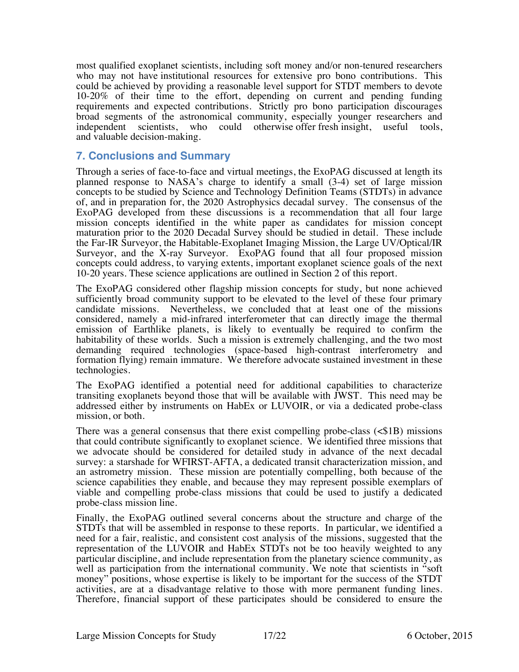most qualified exoplanet scientists, including soft money and/or non-tenured researchers who may not have institutional resources for extensive pro bono contributions. This could be achieved by providing a reasonable level support for STDT members to devote 10-20% of their time to the effort, depending on current and pending funding requirements and expected contributions. Strictly pro bono participation discourages broad segments of the astronomical community, especially younger researchers and independent scientists, who could otherwise offer fresh insight, useful tools, and valuable decision-making.

## **7. Conclusions and Summary**

Through a series of face-to-face and virtual meetings, the ExoPAG discussed at length its planned response to NASA's charge to identify a small (3-4) set of large mission concepts to be studied by Science and Technology Definition Teams (STDTs) in advance of, and in preparation for, the 2020 Astrophysics decadal survey. The consensus of the ExoPAG developed from these discussions is a recommendation that all four large mission concepts identified in the white paper as candidates for mission concept maturation prior to the 2020 Decadal Survey should be studied in detail. These include the Far-IR Surveyor, the Habitable-Exoplanet Imaging Mission, the Large UV/Optical/IR Surveyor, and the X-ray Surveyor. ExoPAG found that all four proposed mission concepts could address, to varying extents, important exoplanet science goals of the next 10-20 years. These science applications are outlined in Section 2 of this report.

The ExoPAG considered other flagship mission concepts for study, but none achieved sufficiently broad community support to be elevated to the level of these four primary candidate missions. Nevertheless, we concluded that at least one of the missions considered, namely a mid-infrared interferometer that can directly image the thermal emission of Earthlike planets, is likely to eventually be required to confirm the habitability of these worlds. Such a mission is extremely challenging, and the two most demanding required technologies (space-based high-contrast interferometry and formation flying) remain immature. We therefore advocate sustained investment in these technologies.

The ExoPAG identified a potential need for additional capabilities to characterize transiting exoplanets beyond those that will be available with JWST. This need may be addressed either by instruments on HabEx or LUVOIR, or via a dedicated probe-class mission, or both.

There was a general consensus that there exist compelling probe-class  $(\leq 1B)$  missions that could contribute significantly to exoplanet science. We identified three missions that we advocate should be considered for detailed study in advance of the next decadal survey: a starshade for WFIRST-AFTA, a dedicated transit characterization mission, and an astrometry mission. These mission are potentially compelling, both because of the science capabilities they enable, and because they may represent possible exemplars of viable and compelling probe-class missions that could be used to justify a dedicated probe-class mission line.

Finally, the ExoPAG outlined several concerns about the structure and charge of the STDTs that will be assembled in response to these reports. In particular, we identified a need for a fair, realistic, and consistent cost analysis of the missions, suggested that the representation of the LUVOIR and HabEx STDTs not be too heavily weighted to any particular discipline, and include representation from the planetary science community, as well as participation from the international community. We note that scientists in "soft money" positions, whose expertise is likely to be important for the success of the STDT activities, are at a disadvantage relative to those with more permanent funding lines. Therefore, financial support of these participates should be considered to ensure the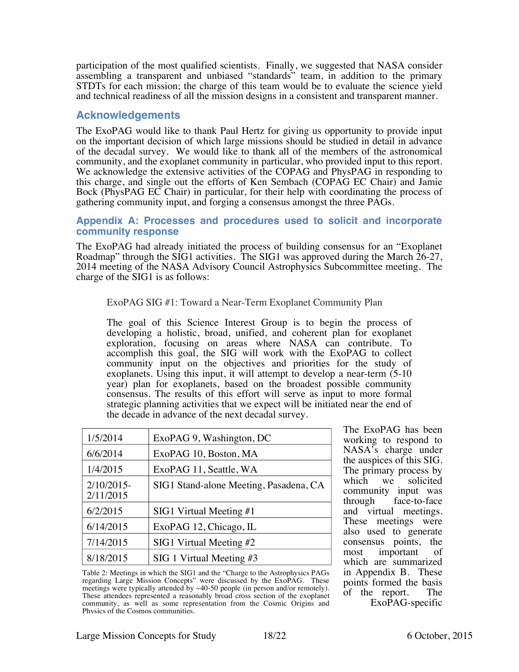participation of the most qualified scientists. Finally, we suggested that NASA consider assembling a transparent and unbiased "standards" team, in addition to the primary STDTs for each mission; the charge of this team would be to evaluate the science yield and technical readiness of all the mission designs in a consistent and transparent manner.

## **Acknowledgements**

The ExoPAG would like to thank Paul Hertz for giving us opportunity to provide input on the important decision of which large missions should be studied in detail in advance of the decadal survey. We would like to thank all of the members of the astronomical community, and the exoplanet community in particular, who provided input to this report. We acknowledge the extensive activities of the COPAG and PhysPAG in responding to this charge, and single out the efforts of Ken Sembach (COPAG EC Chair) and Jamie Bock (PhysPAG EC Chair) in particular, for their help with coordinating the process of gathering community input, and forging a consensus amongst the three PAGs.

#### **Appendix A: Processes and procedures used to solicit and incorporate community response**

The ExoPAG had already initiated the process of building consensus for an "Exoplanet Roadmap" through the SIG1 activities. The SIG1 was approved during the March 26-27, 2014 meeting of the NASA Advisory Council Astrophysics Subcommittee meeting. The charge of the SIG1 is as follows:

#### ExoPAG SIG #1: Toward a Near-Term Exoplanet Community Plan

The goal of this Science Interest Group is to begin the process of developing a holistic, broad, unified, and coherent plan for exoplanet exploration, focusing on areas where NASA can contribute. To accomplish this goal, the SIG will work with the ExoPAG to collect community input on the objectives and priorities for the study of exoplanets. Using this input, it will attempt to develop a near-term (5-10 year) plan for exoplanets, based on the broadest possible community consensus. The results of this effort will serve as input to more formal strategic planning activities that we expect will be initiated near the end of the decade in advance of the next decadal survey.

| 1/5/2014               | ExoPAG 9, Washington, DC               |  |
|------------------------|----------------------------------------|--|
| 6/6/2014               | ExoPAG 10, Boston, MA                  |  |
| 1/4/2015               | ExoPAG 11, Seattle, WA                 |  |
| 2/10/2015<br>2/11/2015 | SIG1 Stand-alone Meeting, Pasadena, CA |  |
| 6/2/2015               | SIG1 Virtual Meeting #1                |  |
| 6/14/2015              | ExoPAG 12, Chicago, IL                 |  |
| 7/14/2015              | $SIG1$ Virtual Meeting #2              |  |
| 8/18/2015              | $SIG 1$ Virtual Meeting #3             |  |

Table 2: Meetings in which the SIG1 and the "Charge to the Astrophysics PAGs regarding Large Mission Concepts" were discussed by the ExoPAG. These meetings were typically attended by ~40-50 people (in person and/or remotely). These attendees represented a reasonably broad cross section of the exoplanet community, as well as some representation from the Cosmic Origins and Physics of the Cosmos communities.

The ExoPAG has been working to respond to NASA's charge under the auspices of this SIG. The primary process by<br>which we solicited solicited community input was through face-to-face and virtual meetings. These meetings were also used to generate consensus points, the most important of most important which are summarized in Appendix B. These points formed the basis<br>of the report. The of the report. ExoPAG-specific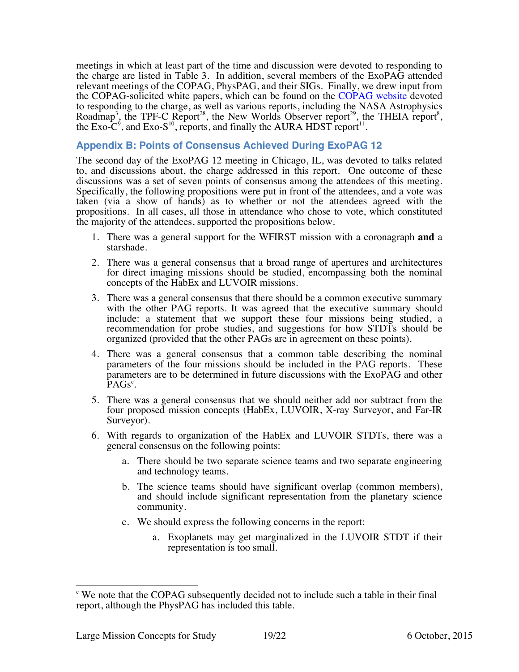meetings in which at least part of the time and discussion were devoted to responding to the charge are listed in Table 3. In addition, several members of the ExoPAG attended relevant meetings of the COPAG, PhysPAG, and their SIGs. Finally, we drew input from the COPAG-solicited white papers, which can be found on the COPAG website devoted to responding to the charge, as well as various reports, including the NASA Astrophysics Roadmap<sup>3</sup>, the TPF-C Report<sup>28</sup>, the New Worlds Observer report<sup>29</sup>, the THEIA report<sup>8</sup>, the Exo-C<sup>9</sup>, and Exo-S<sup>10</sup>, reports, and finally the AURA HDST report<sup>11</sup>.

## **Appendix B: Points of Consensus Achieved During ExoPAG 12**

The second day of the ExoPAG 12 meeting in Chicago, IL, was devoted to talks related to, and discussions about, the charge addressed in this report. One outcome of these discussions was a set of seven points of consensus among the attendees of this meeting. Specifically, the following propositions were put in front of the attendees, and a vote was taken (via a show of hands) as to whether or not the attendees agreed with the propositions. In all cases, all those in attendance who chose to vote, which constituted the majority of the attendees, supported the propositions below.

- 1. There was a general support for the WFIRST mission with a coronagraph **and** a starshade.
- 2. There was a general consensus that a broad range of apertures and architectures for direct imaging missions should be studied, encompassing both the nominal concepts of the HabEx and LUVOIR missions.
- 3. There was a general consensus that there should be a common executive summary with the other PAG reports. It was agreed that the executive summary should include: a statement that we support these four missions being studied, a recommendation for probe studies, and suggestions for how STDTs should be organized (provided that the other PAGs are in agreement on these points).
- 4. There was a general consensus that a common table describing the nominal parameters of the four missions should be included in the PAG reports. These parameters are to be determined in future discussions with the ExoPAG and other PAGs<sup>e</sup>.
- 5. There was a general consensus that we should neither add nor subtract from the four proposed mission concepts (HabEx, LUVOIR, X-ray Surveyor, and Far-IR Surveyor).
- 6. With regards to organization of the HabEx and LUVOIR STDTs, there was a general consensus on the following points:
	- a. There should be two separate science teams and two separate engineering and technology teams.
	- b. The science teams should have significant overlap (common members), and should include significant representation from the planetary science community.
	- c. We should express the following concerns in the report:
		- a. Exoplanets may get marginalized in the LUVOIR STDT if their representation is too small.

<sup>&</sup>lt;sup>e</sup> We note that the COPAG subsequently decided not to include such a table in their final report, although the PhysPAG has included this table.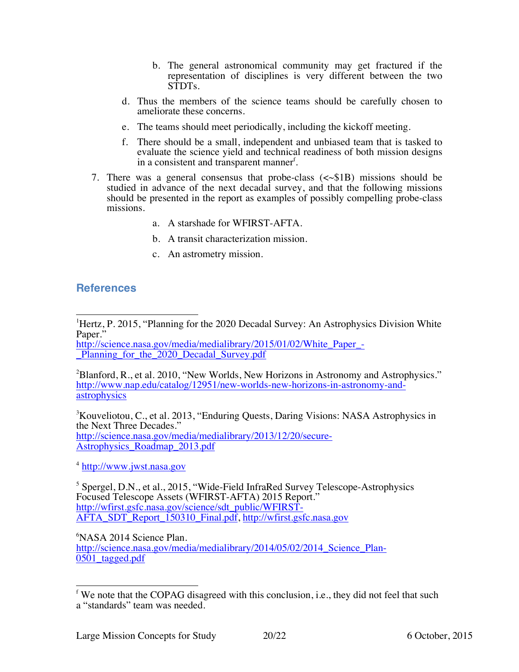- b. The general astronomical community may get fractured if the representation of disciplines is very different between the two STDTs.
- d. Thus the members of the science teams should be carefully chosen to ameliorate these concerns.
- e. The teams should meet periodically, including the kickoff meeting.
- f. There should be a small, independent and unbiased team that is tasked to evaluate the science yield and technical readiness of both mission designs in a consistent and transparent manner<sup>f</sup>.
- 7. There was a general consensus that probe-class  $(\langle \sim \$1B \rangle)$  missions should be studied in advance of the next decadal survey, and that the following missions should be presented in the report as examples of possibly compelling probe-class missions.
	- a. A starshade for WFIRST-AFTA.
	- b. A transit characterization mission.
	- c. An astrometry mission.

## **References**

\_Planning\_for\_the\_2020\_Decadal\_Survey.pdf

 $2B$ lanford, R., et al. 2010, "New Worlds, New Horizons in Astronomy and Astrophysics." http://www.nap.edu/catalog/12951/new-worlds-new-horizons-in-astronomy-andastrophysics

<sup>3</sup>Kouveliotou, C., et al. 2013, "Enduring Quests, Daring Visions: NASA Astrophysics in the Next Three Decades." http://science.nasa.gov/media/medialibrary/2013/12/20/secure-Astrophysics\_Roadmap\_2013.pdf

<sup>4</sup> http://www.jwst.nasa.gov

<sup>5</sup> Spergel, D.N., et al., 2015, "Wide-Field InfraRed Survey Telescope-Astrophysics Focused Telescope Assets (WFIRST-AFTA) 2015 Report." http://wfirst.gsfc.nasa.gov/science/sdt\_public/WFIRST-AFTA\_SDT\_Report\_150310\_Final.pdf, http://wfirst.gsfc.nasa.gov

6 NASA 2014 Science Plan.

http://science.nasa.gov/media/medialibrary/2014/05/02/2014 Science Plan-0501 tagged.pdf

 $\frac{1}{1}$ <sup>1</sup>Hertz, P. 2015, "Planning for the 2020 Decadal Survey: An Astrophysics Division White Paper." http://science.nasa.gov/media/medialibrary/2015/01/02/White Paper -

 $f$  We note that the COPAG disagreed with this conclusion, i.e., they did not feel that such a "standards" team was needed.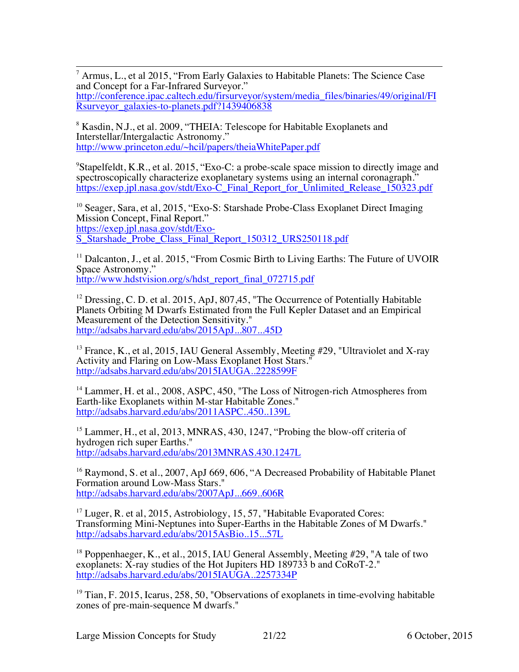7 Armus, L., et al 2015, "From Early Galaxies to Habitable Planets: The Science Case and Concept for a Far-Infrared Surveyor." http://conference.ipac.caltech.edu/firsurveyor/system/media\_files/binaries/49/original/FI Rsurveyor\_galaxies-to-planets.pdf?1439406838

<sup>8</sup> Kasdin, N.J., et al. 2009, "THEIA: Telescope for Habitable Exoplanets and Interstellar/Intergalactic Astronomy." http://www.princeton.edu/~hcil/papers/theiaWhitePaper.pdf

<sup>9</sup>Stapelfeldt, K.R., et al. 2015, "Exo-C: a probe-scale space mission to directly image and spectroscopically characterize exoplanetary systems using an internal coronagraph." https://exep.jpl.nasa.gov/stdt/Exo-C\_Final\_Report\_for\_Unlimited\_Release\_150323.pdf

<sup>10</sup> Seager, Sara, et al, 2015, "Exo-S: Starshade Probe-Class Exoplanet Direct Imaging Mission Concept, Final Report." https://exep.jpl.nasa.gov/stdt/Exo-S\_Starshade\_Probe\_Class\_Final\_Report\_150312\_URS250118.pdf

<sup>11</sup> Dalcanton, J., et al. 2015, "From Cosmic Birth to Living Earths: The Future of UVOIR Space Astronomy." http://www.hdstvision.org/s/hdst\_report\_final\_072715.pdf

<sup>12</sup> Dressing, C. D. et al. 2015, ApJ, 807, 45, "The Occurrence of Potentially Habitable Planets Orbiting M Dwarfs Estimated from the Full Kepler Dataset and an Empirical Measurement of the Detection Sensitivity." http://adsabs.harvard.edu/abs/2015ApJ...807...45D

<sup>13</sup> France, K., et al, 2015, IAU General Assembly, Meeting  $#29$ , "Ultraviolet and X-ray Activity and Flaring on Low-Mass Exoplanet Host Stars." http://adsabs.harvard.edu/abs/2015IAUGA..2228599F

<sup>14</sup> Lammer, H. et al., 2008, ASPC, 450, "The Loss of Nitrogen-rich Atmospheres from Earth-like Exoplanets within M-star Habitable Zones." http://adsabs.harvard.edu/abs/2011ASPC..450..139L

<sup>15</sup> Lammer, H., et al, 2013, MNRAS, 430, 1247, "Probing the blow-off criteria of hydrogen rich super Earths." http://adsabs.harvard.edu/abs/2013MNRAS.430.1247L

<sup>16</sup> Raymond, S. et al., 2007, ApJ 669, 606, "A Decreased Probability of Habitable Planet Formation around Low-Mass Stars." http://adsabs.harvard.edu/abs/2007ApJ...669..606R

 $17$  Luger, R. et al, 2015, Astrobiology, 15, 57, "Habitable Evaporated Cores: Transforming Mini-Neptunes into Super-Earths in the Habitable Zones of M Dwarfs." http://adsabs.harvard.edu/abs/2015AsBio..15...57L

<sup>18</sup> Poppenhaeger, K., et al., 2015, IAU General Assembly, Meeting #29, "A tale of two exoplanets:  $\tilde{X}$ -ray studies of the Hot Jupiters HD 189733 b and  $\tilde{\text{CoRoT-2}}$ ." http://adsabs.harvard.edu/abs/2015IAUGA..2257334P

 $19$  Tian, F. 2015, Icarus, 258, 50, "Observations of exoplanets in time-evolving habitable zones of pre-main-sequence M dwarfs."